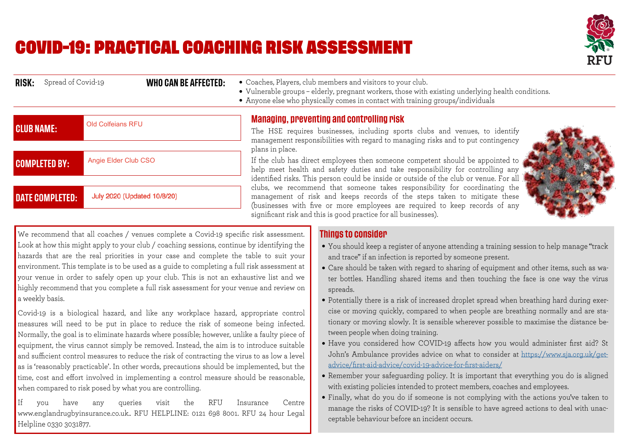## **COVID-19: PRACTICAL COACHING RISK ASSESSMENT**



| Spread of Covid-19<br>RISK: | WHO CAN BE AFFECTED:        | • Coaches, Players, club members and visitors to your club.<br>• Vulnerable groups - elderly, pregnant workers, those with existing underlying health conditions.<br>• Anyone else who physically comes in contact with training groups/individuals |
|-----------------------------|-----------------------------|-----------------------------------------------------------------------------------------------------------------------------------------------------------------------------------------------------------------------------------------------------|
| <b>CLUB NAME:</b>           | <b>Old Colfeians RFU</b>    | <b>Managing, preventing and controlling risk</b><br>The HSE requires businesses, including sports clubs and venues, to identify                                                                                                                     |
|                             | Angie Elder Club CSO        | management responsibilities with regard to managing risks and to put contingency<br>plans in place.<br>If the club has direct employees then someone competent should be appointed to                                                               |
| <b>COMPLETED BY:</b>        |                             | help meet health and safety duties and take responsibility for controlling any<br>identified risks. This person could be inside or outside of the club or venue. For all                                                                            |
| <b>DATE COMPLETED:</b>      | July 2020 (Updated 10/8/20) | clubs, we recommend that someone takes responsibility for coordinating the<br>management of risk and keeps records of the steps taken to mitigate these<br>(businesses with five or more employees are required to keep records of any              |
|                             |                             | significant risk and this is good practice for all businesses).                                                                                                                                                                                     |



We recommend that all coaches / venues complete a Covid-19 specific risk assessment. Look at how this might apply to your club / coaching sessions, continue by identifying the hazards that are the real priorities in your case and complete the table to suit your environment. This template is to be used as a quide to completing a full risk assessment at your venue in order to safely open up your club. This is not an exhaustive list and we highly recommend that you complete a full risk assessment for your venue and review on a weekly basis.

Covid-19 is a biological hazard, and like any workplace hazard, appropriate control measures will need to be put in place to reduce the risk of someone being infected. Normally, the goal is to eliminate hazards where possible; however, unlike a faulty piece of equipment, the virus cannot simply be removed. Instead, the aim is to introduce suitable and sufficient control measures to reduce the risk of contracting the virus to as low a level as is 'reasonably practicable'. In other words, precautions should be implemented, but the time, cost and effort involved in implementing a control measure should be reasonable, when compared to risk posed by what you are controlling.

 $If$  $V<sub>011</sub>$ have any queries visit the **RFU** Insurance Centre www.englandrugbyinsurance.co.uk.. RFU HELPLINE: 0121 698 8001. RFU 24 hour Legal Helpline 0330 3031877.

## **Things to consider**

- You should keep a register of anyone attending a training session to help manage "track and trace" if an infection is reported by someone present.
- $\bullet$ • Care should be taken with regard to sharing of equipment and other items, such as water bottles. Handling shared items and then touching the face is one way the virus spreads.
- Potentially there is a risk of increased droplet spread when breathing hard during exercise or moving quickly, compared to when people are breathing normally and are stationary or moving slowly. It is sensible wherever possible to maximise the distance between people when doing training.
- Have you considered how COVID-19 affects how you would administer first aid? St John's Ambulance provides advice on what to consider at https://www.sja.org.uk/getadvice/first-aid-advice/covid-19-advice-for-first-aiders/
- Remember your safeguarding policy. It is important that everything you do is aligned  $\bullet$ with existing policies intended to protect members, coaches and employees.
- Finally, what do you do if someone is not complying with the actions you've taken to manage the risks of COVID-19? It is sensible to have agreed actions to deal with unacceptable behaviour before an incident occurs.